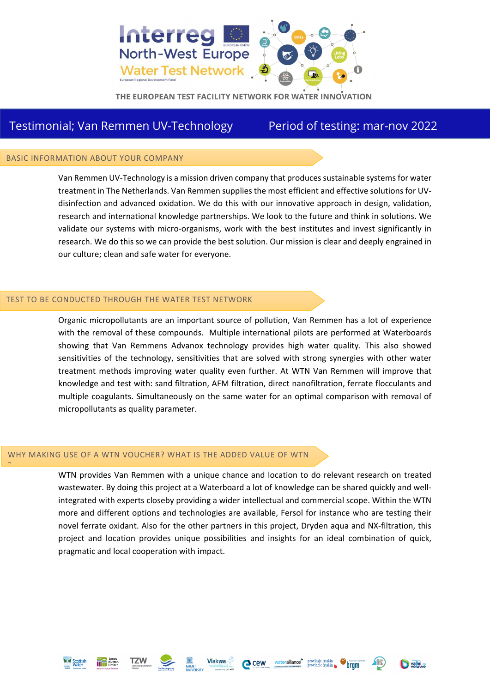

THE EUROPEAN TEST FACILITY NETWORK FOR WATER INNOVATION

# Testimonial; Van Remmen UV-Technology Period of testing: mar-nov 2022

### BASIC INFORMATION ABOUT YOUR COMPANY

Van Remmen UV-Technology is a mission driven company that produces sustainable systems for water treatment in The Netherlands. Van Remmen supplies the most efficient and effective solutions for UVdisinfection and advanced oxidation. We do this with our innovative approach in design, validation, research and international knowledge partnerships. We look to the future and think in solutions. We validate our systems with micro-organisms, work with the best institutes and invest significantly in research. We do this so we can provide the best solution. Our mission is clear and deeply engrained in our culture; clean and safe water for everyone.

### TEST TO BE CONDUCTED THROUGH THE WATER TEST NETWORK

Organic micropollutants are an important source of pollution, Van Remmen has a lot of experience with the removal of these compounds. Multiple international pilots are performed at Waterboards showing that Van Remmens Advanox technology provides high water quality. This also showed sensitivities of the technology, sensitivities that are solved with strong synergies with other water treatment methods improving water quality even further. At WTN Van Remmen will improve that knowledge and test with: sand filtration, AFM filtration, direct nanofiltration, ferrate flocculants and multiple coagulants. Simultaneously on the same water for an optimal comparison with removal of micropollutants as quality parameter.

## WHY MAKING USE OF A WTN VOUCHER? WHAT IS THE ADDED VALUE OF WTN

WTN provides Van Remmen with a unique chance and location to do relevant research on treated wastewater. By doing this project at a Waterboard a lot of knowledge can be shared quickly and wellintegrated with experts closeby providing a wider intellectual and commercial scope. Within the WTN more and different options and technologies are available, Fersol for instance who are testing their novel ferrate oxidant. Also for the other partners in this project, Dryden aqua and NX-filtration, this project and location provides unique possibilities and insights for an ideal combination of quick, pragmatic and local cooperation with impact.



?







vallei